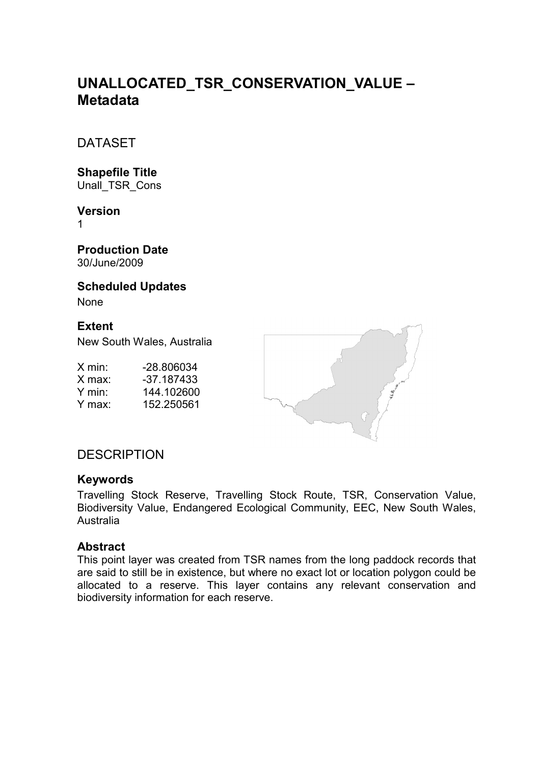# **UNALLOCATED\_TSR\_CONSERVATION\_VALUE – Metadata**

DATASET

# **Shapefile Title**

Unall\_TSR\_Cons

#### **Version**

1

**Production Date**  30/June/2009

#### **Scheduled Updates**

None

### **Extent**

New South Wales, Australia

X min: -28.806034<br>X max: -37.187433 X max: -37.187433<br>Y min: 144.102600 Y min: 144.102600<br>Y max: 152.250561 152.250561



# **DESCRIPTION**

#### **Keywords**

Travelling Stock Reserve, Travelling Stock Route, TSR, Conservation Value, Biodiversity Value, Endangered Ecological Community, EEC, New South Wales, Australia

#### **Abstract**

This point layer was created from TSR names from the long paddock records that are said to still be in existence, but where no exact lot or location polygon could be allocated to a reserve. This layer contains any relevant conservation and biodiversity information for each reserve.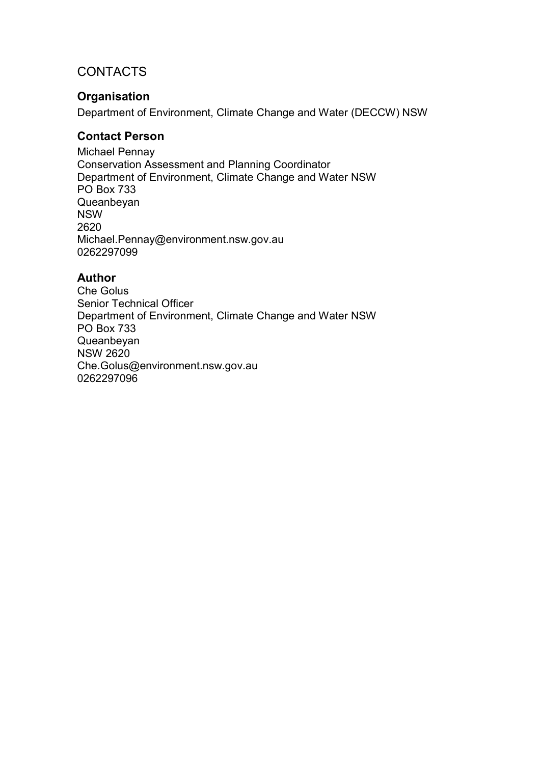# **CONTACTS**

## **Organisation**

Department of Environment, Climate Change and Water (DECCW) NSW

#### **Contact Person**

Michael Pennay Conservation Assessment and Planning Coordinator Department of Environment, Climate Change and Water NSW PO Box 733 Queanbeyan NSW 2620 Michael.Pennay@environment.nsw.gov.au 0262297099

#### **Author**

Che Golus Senior Technical Officer Department of Environment, Climate Change and Water NSW PO Box 733 Queanbeyan NSW 2620 Che.Golus@environment.nsw.gov.au 0262297096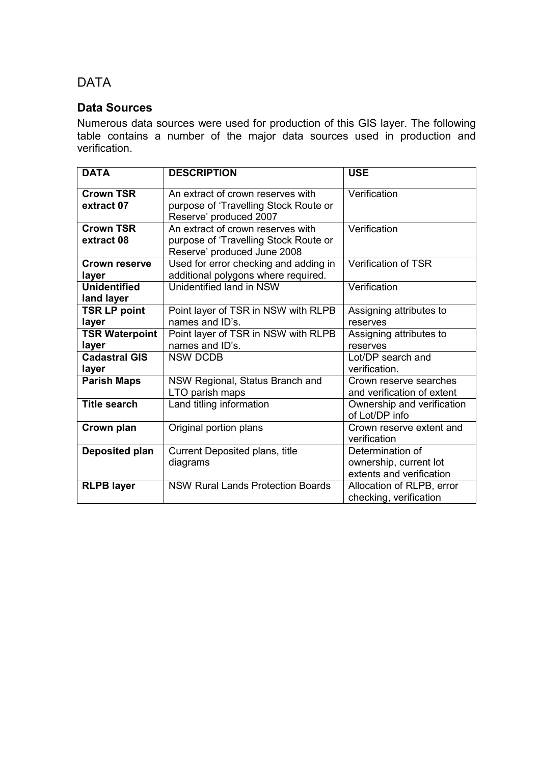# DATA

### **Data Sources**

Numerous data sources were used for production of this GIS layer. The following table contains a number of the major data sources used in production and verification.

| <b>DATA</b>                       | <b>DESCRIPTION</b>                                                                                        | <b>USE</b>                                                             |
|-----------------------------------|-----------------------------------------------------------------------------------------------------------|------------------------------------------------------------------------|
| <b>Crown TSR</b><br>extract 07    | An extract of crown reserves with<br>purpose of 'Travelling Stock Route or<br>Reserve' produced 2007      | Verification                                                           |
| <b>Crown TSR</b><br>extract 08    | An extract of crown reserves with<br>purpose of 'Travelling Stock Route or<br>Reserve' produced June 2008 | Verification                                                           |
| <b>Crown reserve</b><br>layer     | Used for error checking and adding in<br>additional polygons where required.                              | Verification of TSR                                                    |
| <b>Unidentified</b><br>land layer | Unidentified land in NSW                                                                                  | Verification                                                           |
| <b>TSR LP point</b><br>layer      | Point layer of TSR in NSW with RLPB<br>names and ID's.                                                    | Assigning attributes to<br>reserves                                    |
| <b>TSR Waterpoint</b><br>layer    | Point layer of TSR in NSW with RLPB<br>names and ID's.                                                    | Assigning attributes to<br>reserves                                    |
| <b>Cadastral GIS</b><br>layer     | <b>NSW DCDB</b>                                                                                           | Lot/DP search and<br>verification.                                     |
| <b>Parish Maps</b>                | NSW Regional, Status Branch and<br>LTO parish maps                                                        | Crown reserve searches<br>and verification of extent                   |
| <b>Title search</b>               | Land titling information                                                                                  | Ownership and verification<br>of Lot/DP info                           |
| Crown plan                        | Original portion plans                                                                                    | Crown reserve extent and<br>verification                               |
| Deposited plan                    | Current Deposited plans, title<br>diagrams                                                                | Determination of<br>ownership, current lot<br>extents and verification |
| <b>RLPB layer</b>                 | <b>NSW Rural Lands Protection Boards</b>                                                                  | Allocation of RLPB, error<br>checking, verification                    |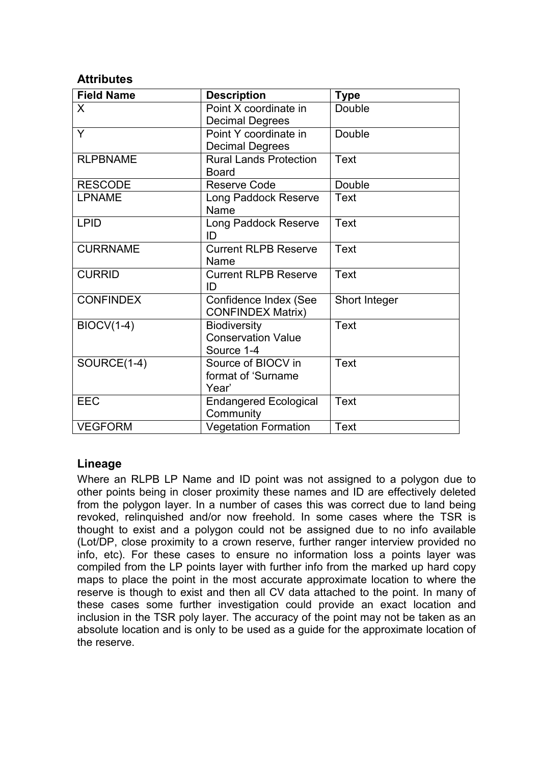#### **Attributes**

| <b>Field Name</b> | <b>Description</b>                                             | <b>Type</b>   |
|-------------------|----------------------------------------------------------------|---------------|
| X                 | Point X coordinate in<br><b>Decimal Degrees</b>                | Double        |
| Y                 | Point Y coordinate in<br><b>Decimal Degrees</b>                | Double        |
| <b>RLPBNAME</b>   | <b>Rural Lands Protection</b><br><b>Board</b>                  | <b>Text</b>   |
| <b>RESCODE</b>    | Reserve Code                                                   | Double        |
| <b>LPNAME</b>     | Long Paddock Reserve<br>Name                                   | Text          |
| <b>LPID</b>       | Long Paddock Reserve<br>ID                                     | Text          |
| <b>CURRNAME</b>   | <b>Current RLPB Reserve</b><br>Name                            | Text          |
| <b>CURRID</b>     | <b>Current RLPB Reserve</b><br>ID                              | <b>Text</b>   |
| <b>CONFINDEX</b>  | Confidence Index (See<br><b>CONFINDEX Matrix)</b>              | Short Integer |
| <b>BIOCV(1-4)</b> | <b>Biodiversity</b><br><b>Conservation Value</b><br>Source 1-4 | <b>Text</b>   |
| SOURCE(1-4)       | Source of BIOCV in<br>format of 'Surname<br>Year'              | <b>Text</b>   |
| <b>EEC</b>        | <b>Endangered Ecological</b><br>Community                      | <b>Text</b>   |
| <b>VEGFORM</b>    | <b>Vegetation Formation</b>                                    | <b>Text</b>   |

#### **Lineage**

Where an RLPB LP Name and ID point was not assigned to a polygon due to other points being in closer proximity these names and ID are effectively deleted from the polygon layer. In a number of cases this was correct due to land being revoked, relinquished and/or now freehold. In some cases where the TSR is thought to exist and a polygon could not be assigned due to no info available (Lot/DP, close proximity to a crown reserve, further ranger interview provided no info, etc). For these cases to ensure no information loss a points layer was compiled from the LP points layer with further info from the marked up hard copy maps to place the point in the most accurate approximate location to where the reserve is though to exist and then all CV data attached to the point. In many of these cases some further investigation could provide an exact location and inclusion in the TSR poly layer. The accuracy of the point may not be taken as an absolute location and is only to be used as a guide for the approximate location of the reserve.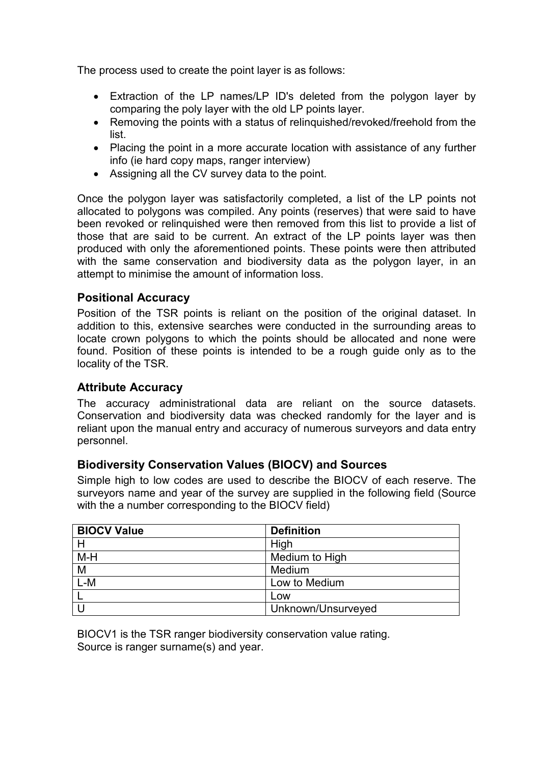The process used to create the point layer is as follows:

- Extraction of the LP names/LP ID's deleted from the polygon layer by comparing the poly layer with the old LP points layer.
- Removing the points with a status of relinquished/revoked/freehold from the list.
- Placing the point in a more accurate location with assistance of any further info (ie hard copy maps, ranger interview)
- Assigning all the CV survey data to the point.

Once the polygon layer was satisfactorily completed, a list of the LP points not allocated to polygons was compiled. Any points (reserves) that were said to have been revoked or relinquished were then removed from this list to provide a list of those that are said to be current. An extract of the LP points layer was then produced with only the aforementioned points. These points were then attributed with the same conservation and biodiversity data as the polygon layer, in an attempt to minimise the amount of information loss.

#### **Positional Accuracy**

Position of the TSR points is reliant on the position of the original dataset. In addition to this, extensive searches were conducted in the surrounding areas to locate crown polygons to which the points should be allocated and none were found. Position of these points is intended to be a rough guide only as to the locality of the TSR.

#### **Attribute Accuracy**

The accuracy administrational data are reliant on the source datasets. Conservation and biodiversity data was checked randomly for the layer and is reliant upon the manual entry and accuracy of numerous surveyors and data entry personnel.

#### **Biodiversity Conservation Values (BIOCV) and Sources**

Simple high to low codes are used to describe the BIOCV of each reserve. The surveyors name and year of the survey are supplied in the following field (Source with the a number corresponding to the BIOCV field)

| <b>BIOCV Value</b> | <b>Definition</b>  |
|--------------------|--------------------|
| H                  | High               |
| M-H                | Medium to High     |
| M                  | Medium             |
| $L-M$              | Low to Medium      |
|                    | Low                |
|                    | Unknown/Unsurveyed |

BIOCV1 is the TSR ranger biodiversity conservation value rating. Source is ranger surname(s) and year.